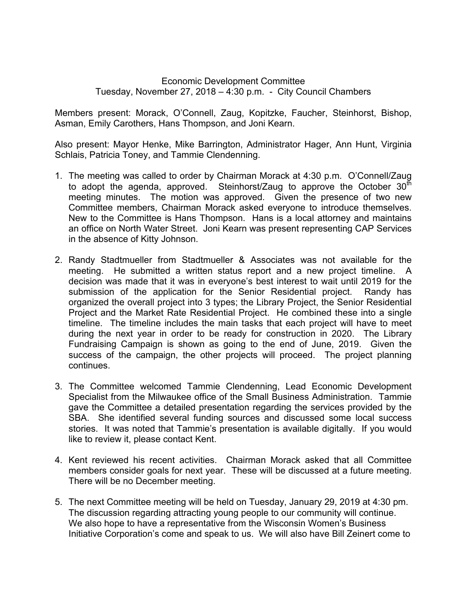## Economic Development Committee Tuesday, November 27, 2018 – 4:30 p.m. - City Council Chambers

Members present: Morack, O'Connell, Zaug, Kopitzke, Faucher, Steinhorst, Bishop, Asman, Emily Carothers, Hans Thompson, and Joni Kearn.

Also present: Mayor Henke, Mike Barrington, Administrator Hager, Ann Hunt, Virginia Schlais, Patricia Toney, and Tammie Clendenning.

- 1. The meeting was called to order by Chairman Morack at 4:30 p.m. O'Connell/Zaug to adopt the agenda, approved. Steinhorst/Zaug to approve the October  $30<sup>th</sup>$ meeting minutes. The motion was approved. Given the presence of two new Committee members, Chairman Morack asked everyone to introduce themselves. New to the Committee is Hans Thompson. Hans is a local attorney and maintains an office on North Water Street. Joni Kearn was present representing CAP Services in the absence of Kitty Johnson.
- 2. Randy Stadtmueller from Stadtmueller & Associates was not available for the meeting. He submitted a written status report and a new project timeline. A decision was made that it was in everyone's best interest to wait until 2019 for the submission of the application for the Senior Residential project. Randy has organized the overall project into 3 types; the Library Project, the Senior Residential Project and the Market Rate Residential Project. He combined these into a single timeline. The timeline includes the main tasks that each project will have to meet during the next year in order to be ready for construction in 2020. The Library Fundraising Campaign is shown as going to the end of June, 2019. Given the success of the campaign, the other projects will proceed. The project planning continues.
- 3. The Committee welcomed Tammie Clendenning, Lead Economic Development Specialist from the Milwaukee office of the Small Business Administration. Tammie gave the Committee a detailed presentation regarding the services provided by the SBA. She identified several funding sources and discussed some local success stories. It was noted that Tammie's presentation is available digitally. If you would like to review it, please contact Kent.
- 4. Kent reviewed his recent activities. Chairman Morack asked that all Committee members consider goals for next year. These will be discussed at a future meeting. There will be no December meeting.
- 5. The next Committee meeting will be held on Tuesday, January 29, 2019 at 4:30 pm. The discussion regarding attracting young people to our community will continue. We also hope to have a representative from the Wisconsin Women's Business Initiative Corporation's come and speak to us. We will also have Bill Zeinert come to